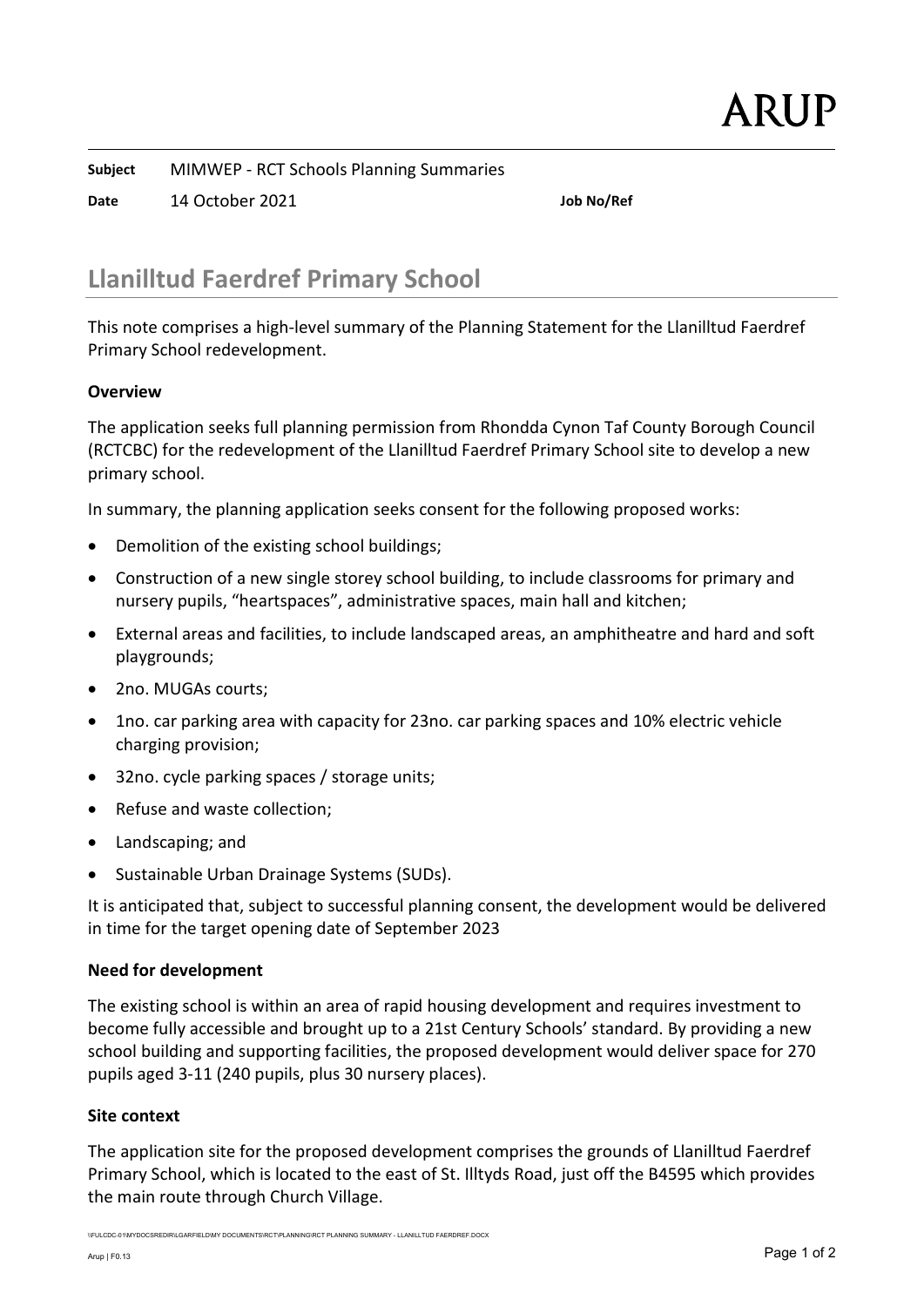Subject MIMWEP - RCT Schools Planning Summaries

Date 14 October 2021 Job No/Ref

# Llanilltud Faerdref Primary School

This note comprises a high-level summary of the Planning Statement for the Llanilltud Faerdref Primary School redevelopment.

# **Overview**

The application seeks full planning permission from Rhondda Cynon Taf County Borough Council (RCTCBC) for the redevelopment of the Llanilltud Faerdref Primary School site to develop a new primary school.

In summary, the planning application seeks consent for the following proposed works:

- Demolition of the existing school buildings;
- Construction of a new single storey school building, to include classrooms for primary and nursery pupils, "heartspaces", administrative spaces, main hall and kitchen;
- External areas and facilities, to include landscaped areas, an amphitheatre and hard and soft playgrounds;
- 2no. MUGAs courts:
- 1no. car parking area with capacity for 23no. car parking spaces and 10% electric vehicle charging provision;
- 32no. cycle parking spaces / storage units;
- Refuse and waste collection;
- Landscaping; and
- Sustainable Urban Drainage Systems (SUDs).

It is anticipated that, subject to successful planning consent, the development would be delivered in time for the target opening date of September 2023

### Need for development

The existing school is within an area of rapid housing development and requires investment to become fully accessible and brought up to a 21st Century Schools' standard. By providing a new school building and supporting facilities, the proposed development would deliver space for 270 pupils aged 3-11 (240 pupils, plus 30 nursery places).

### Site context

The application site for the proposed development comprises the grounds of Llanilltud Faerdref Primary School, which is located to the east of St. Illtyds Road, just off the B4595 which provides the main route through Church Village.

\\FULCDC-01\MYDOCSREDIR\LGARFIELD\MY DOCUMENTS\RCT\PLANNING\RCT PLANNING SUMMARY - LLANILLTUD FAERDREF.DOCX